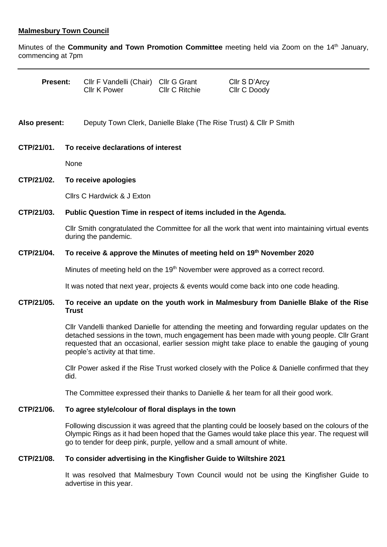## **Malmesbury Town Council**

Minutes of the **Community and Town Promotion Committee** meeting held via Zoom on the 14<sup>th</sup> January, commencing at 7pm

| <b>Present:</b> |      | CIIr F Vandelli (Chair) CIIr G Grant<br><b>Cllr K Power</b>                                                                                                                                                                                                                                                                      | <b>CIIr C Ritchie</b>                                                                            | Cllr S D'Arcy<br>Cllr C Doody |  |
|-----------------|------|----------------------------------------------------------------------------------------------------------------------------------------------------------------------------------------------------------------------------------------------------------------------------------------------------------------------------------|--------------------------------------------------------------------------------------------------|-------------------------------|--|
| Also present:   |      | Deputy Town Clerk, Danielle Blake (The Rise Trust) & Cllr P Smith                                                                                                                                                                                                                                                                |                                                                                                  |                               |  |
| CTP/21/01.      |      | To receive declarations of interest                                                                                                                                                                                                                                                                                              |                                                                                                  |                               |  |
|                 |      | None                                                                                                                                                                                                                                                                                                                             |                                                                                                  |                               |  |
| CTP/21/02.      |      | To receive apologies                                                                                                                                                                                                                                                                                                             |                                                                                                  |                               |  |
|                 |      | Cllrs C Hardwick & J Exton                                                                                                                                                                                                                                                                                                       |                                                                                                  |                               |  |
| CTP/21/03.      |      | Public Question Time in respect of items included in the Agenda.                                                                                                                                                                                                                                                                 |                                                                                                  |                               |  |
|                 |      | CIIr Smith congratulated the Committee for all the work that went into maintaining virtual events<br>during the pandemic.                                                                                                                                                                                                        |                                                                                                  |                               |  |
| CTP/21/04.      |      | To receive & approve the Minutes of meeting held on 19th November 2020                                                                                                                                                                                                                                                           |                                                                                                  |                               |  |
|                 |      | Minutes of meeting held on the 19 <sup>th</sup> November were approved as a correct record.                                                                                                                                                                                                                                      |                                                                                                  |                               |  |
|                 |      | It was noted that next year, projects & events would come back into one code heading.                                                                                                                                                                                                                                            |                                                                                                  |                               |  |
| CTP/21/05.      |      | To receive an update on the youth work in Malmesbury from Danielle Blake of the Rise<br><b>Trust</b>                                                                                                                                                                                                                             |                                                                                                  |                               |  |
|                 |      | CIIr Vandelli thanked Danielle for attending the meeting and forwarding regular updates on the<br>detached sessions in the town, much engagement has been made with young people. Cllr Grant<br>requested that an occasional, earlier session might take place to enable the gauging of young<br>people's activity at that time. |                                                                                                  |                               |  |
|                 | did. |                                                                                                                                                                                                                                                                                                                                  | Cllr Power asked if the Rise Trust worked closely with the Police & Danielle confirmed that they |                               |  |
|                 |      | The Committee expressed their thanks to Danielle & her team for all their good work.                                                                                                                                                                                                                                             |                                                                                                  |                               |  |
| CTP/21/06.      |      | To agree style/colour of floral displays in the town                                                                                                                                                                                                                                                                             |                                                                                                  |                               |  |
|                 |      |                                                                                                                                                                                                                                                                                                                                  |                                                                                                  |                               |  |

Following discussion it was agreed that the planting could be loosely based on the colours of the Olympic Rings as it had been hoped that the Games would take place this year. The request will go to tender for deep pink, purple, yellow and a small amount of white.

## **CTP/21/08. To consider advertising in the Kingfisher Guide to Wiltshire 2021**

It was resolved that Malmesbury Town Council would not be using the Kingfisher Guide to advertise in this year.